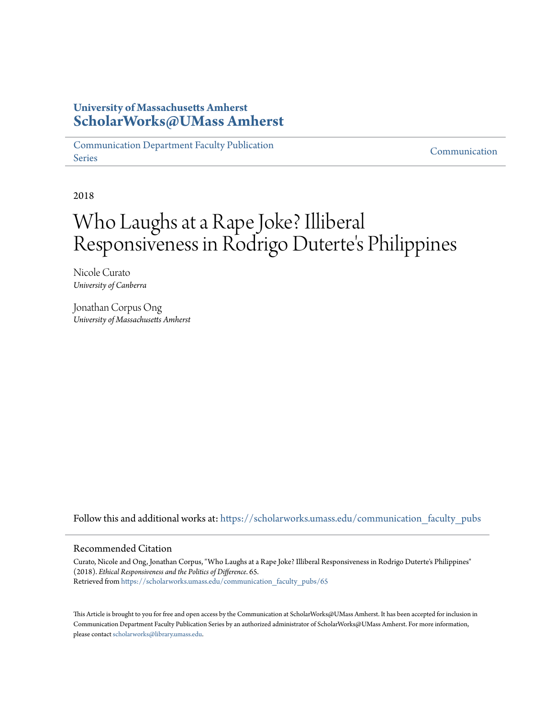# **University of Massachusetts Amherst [ScholarWorks@UMass Amherst](https://scholarworks.umass.edu?utm_source=scholarworks.umass.edu%2Fcommunication_faculty_pubs%2F65&utm_medium=PDF&utm_campaign=PDFCoverPages)**

[Communication Department Faculty Publication](https://scholarworks.umass.edu/communication_faculty_pubs?utm_source=scholarworks.umass.edu%2Fcommunication_faculty_pubs%2F65&utm_medium=PDF&utm_campaign=PDFCoverPages) [Series](https://scholarworks.umass.edu/communication_faculty_pubs?utm_source=scholarworks.umass.edu%2Fcommunication_faculty_pubs%2F65&utm_medium=PDF&utm_campaign=PDFCoverPages)

[Communication](https://scholarworks.umass.edu/Communication?utm_source=scholarworks.umass.edu%2Fcommunication_faculty_pubs%2F65&utm_medium=PDF&utm_campaign=PDFCoverPages)

2018

# Who Laughs at a Rape Joke? Illiberal Responsiveness in Rodrigo Duterte 's Philippines

Nicole Curato *University of Canberra*

Jonathan Corpus Ong *University of Massachusetts Amherst*

Follow this and additional works at: [https://scholarworks.umass.edu/communication\\_faculty\\_pubs](https://scholarworks.umass.edu/communication_faculty_pubs?utm_source=scholarworks.umass.edu%2Fcommunication_faculty_pubs%2F65&utm_medium=PDF&utm_campaign=PDFCoverPages)

#### Recommended Citation

Curato, Nicole and Ong, Jonathan Corpus, "Who Laughs at a Rape Joke? Illiberal Responsiveness in Rodrigo Duterte's Philippines" (2018). *Ethical Responsiveness and the Politics of Difference*. 65. Retrieved from [https://scholarworks.umass.edu/communication\\_faculty\\_pubs/65](https://scholarworks.umass.edu/communication_faculty_pubs/65?utm_source=scholarworks.umass.edu%2Fcommunication_faculty_pubs%2F65&utm_medium=PDF&utm_campaign=PDFCoverPages)

This Article is brought to you for free and open access by the Communication at ScholarWorks@UMass Amherst. It has been accepted for inclusion in Communication Department Faculty Publication Series by an authorized administrator of ScholarWorks@UMass Amherst. For more information, please contact [scholarworks@library.umass.edu.](mailto:scholarworks@library.umass.edu)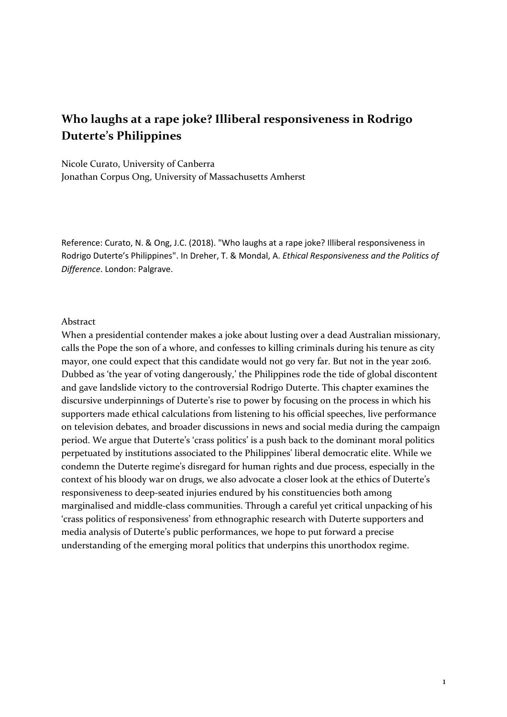# **Who laughs at a rape joke? Illiberal responsiveness in Rodrigo Duterte's Philippines**

Nicole Curato, University of Canberra Jonathan Corpus Ong, University of Massachusetts Amherst

Reference: Curato, N. & Ong, J.C. (2018). "Who laughs at a rape joke? Illiberal responsiveness in Rodrigo Duterte's Philippines". In Dreher, T. & Mondal, A. *Ethical Responsiveness and the Politics of Difference*. London: Palgrave.

#### Abstract

When a presidential contender makes a joke about lusting over a dead Australian missionary, calls the Pope the son of a whore, and confesses to killing criminals during his tenure as city mayor, one could expect that this candidate would not go very far. But not in the year 2016. Dubbed as 'the year of voting dangerously,' the Philippines rode the tide of global discontent and gave landslide victory to the controversial Rodrigo Duterte. This chapter examines the discursive underpinnings of Duterte's rise to power by focusing on the process in which his supporters made ethical calculations from listening to his official speeches, live performance on television debates, and broader discussions in news and social media during the campaign period. We argue that Duterte's 'crass politics' is a push back to the dominant moral politics perpetuated by institutions associated to the Philippines' liberal democratic elite. While we condemn the Duterte regime's disregard for human rights and due process, especially in the context of his bloody war on drugs, we also advocate a closer look at the ethics of Duterte's responsiveness to deep-seated injuries endured by his constituencies both among marginalised and middle-class communities. Through a careful yet critical unpacking of his 'crass politics of responsiveness' from ethnographic research with Duterte supporters and media analysis of Duterte's public performances, we hope to put forward a precise understanding of the emerging moral politics that underpins this unorthodox regime.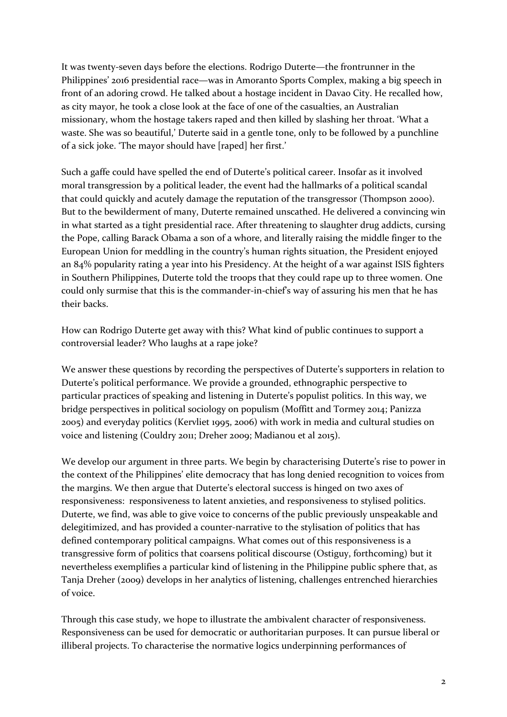It was twenty-seven days before the elections. Rodrigo Duterte—the frontrunner in the Philippines' 2016 presidential race—was in Amoranto Sports Complex, making a big speech in front of an adoring crowd. He talked about a hostage incident in Davao City. He recalled how, as city mayor, he took a close look at the face of one of the casualties, an Australian missionary, whom the hostage takers raped and then killed by slashing her throat. 'What a waste. She was so beautiful,' Duterte said in a gentle tone, only to be followed by a punchline of a sick joke. 'The mayor should have [raped] her first.'

Such a gaffe could have spelled the end of Duterte's political career. Insofar as it involved moral transgression by a political leader, the event had the hallmarks of a political scandal that could quickly and acutely damage the reputation of the transgressor (Thompson 2000). But to the bewilderment of many, Duterte remained unscathed. He delivered a convincing win in what started as a tight presidential race. After threatening to slaughter drug addicts, cursing the Pope, calling Barack Obama a son of a whore, and literally raising the middle finger to the European Union for meddling in the country's human rights situation, the President enjoyed an 84% popularity rating a year into his Presidency. At the height of a war against ISIS fighters in Southern Philippines, Duterte told the troops that they could rape up to three women. One could only surmise that this is the commander-in-chief's way of assuring his men that he has their backs.

How can Rodrigo Duterte get away with this? What kind of public continues to support a controversial leader? Who laughs at a rape joke?

We answer these questions by recording the perspectives of Duterte's supporters in relation to Duterte's political performance. We provide a grounded, ethnographic perspective to particular practices of speaking and listening in Duterte's populist politics. In this way, we bridge perspectives in political sociology on populism (Moffitt and Tormey 2014; Panizza 2005) and everyday politics (Kervliet 1995, 2006) with work in media and cultural studies on voice and listening (Couldry 2011; Dreher 2009; Madianou et al 2015).

We develop our argument in three parts. We begin by characterising Duterte's rise to power in the context of the Philippines' elite democracy that has long denied recognition to voices from the margins. We then argue that Duterte's electoral success is hinged on two axes of responsiveness: responsiveness to latent anxieties, and responsiveness to stylised politics. Duterte, we find, was able to give voice to concerns of the public previously unspeakable and delegitimized, and has provided a counter-narrative to the stylisation of politics that has defined contemporary political campaigns. What comes out of this responsiveness is a transgressive form of politics that coarsens political discourse (Ostiguy, forthcoming) but it nevertheless exemplifies a particular kind of listening in the Philippine public sphere that, as Tanja Dreher (2009) develops in her analytics of listening, challenges entrenched hierarchies of voice.

Through this case study, we hope to illustrate the ambivalent character of responsiveness. Responsiveness can be used for democratic or authoritarian purposes. It can pursue liberal or illiberal projects. To characterise the normative logics underpinning performances of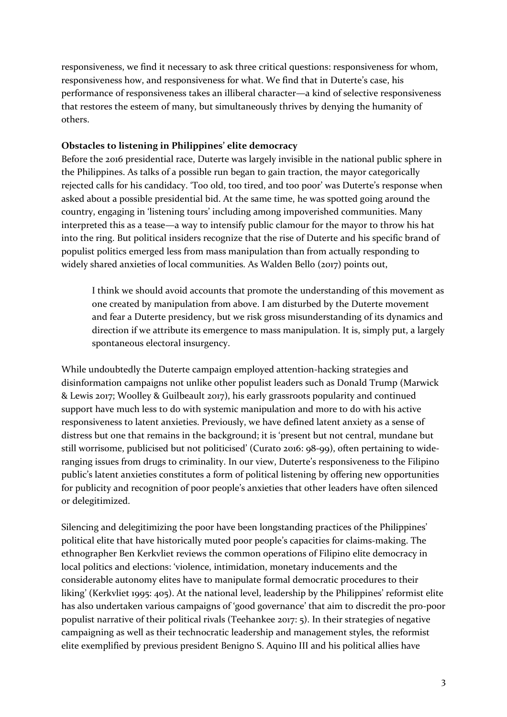responsiveness, we find it necessary to ask three critical questions: responsiveness for whom, responsiveness how, and responsiveness for what. We find that in Duterte's case, his performance of responsiveness takes an illiberal character—a kind of selective responsiveness that restores the esteem of many, but simultaneously thrives by denying the humanity of others.

### **Obstacles to listening in Philippines' elite democracy**

Before the 2016 presidential race, Duterte was largely invisible in the national public sphere in the Philippines. As talks of a possible run began to gain traction, the mayor categorically rejected calls for his candidacy. 'Too old, too tired, and too poor' was Duterte's response when asked about a possible presidential bid. At the same time, he was spotted going around the country, engaging in 'listening tours' including among impoverished communities. Many interpreted this as a tease—a way to intensify public clamour for the mayor to throw his hat into the ring. But political insiders recognize that the rise of Duterte and his specific brand of populist politics emerged less from mass manipulation than from actually responding to widely shared anxieties of local communities. As Walden Bello (2017) points out,

I think we should avoid accounts that promote the understanding of this movement as one created by manipulation from above. I am disturbed by the Duterte movement and fear a Duterte presidency, but we risk gross misunderstanding of its dynamics and direction if we attribute its emergence to mass manipulation. It is, simply put, a largely spontaneous electoral insurgency.

While undoubtedly the Duterte campaign employed attention-hacking strategies and disinformation campaigns not unlike other populist leaders such as Donald Trump (Marwick & Lewis 2017; Woolley & Guilbeault 2017), his early grassroots popularity and continued support have much less to do with systemic manipulation and more to do with his active responsiveness to latent anxieties. Previously, we have defined latent anxiety as a sense of distress but one that remains in the background; it is 'present but not central, mundane but still worrisome, publicised but not politicised' (Curato 2016: 98-99), often pertaining to wideranging issues from drugs to criminality. In our view, Duterte's responsiveness to the Filipino public's latent anxieties constitutes a form of political listening by offering new opportunities for publicity and recognition of poor people's anxieties that other leaders have often silenced or delegitimized.

Silencing and delegitimizing the poor have been longstanding practices of the Philippines' political elite that have historically muted poor people's capacities for claims-making. The ethnographer Ben Kerkvliet reviews the common operations of Filipino elite democracy in local politics and elections: 'violence, intimidation, monetary inducements and the considerable autonomy elites have to manipulate formal democratic procedures to their liking' (Kerkvliet 1995: 405). At the national level, leadership by the Philippines' reformist elite has also undertaken various campaigns of 'good governance' that aim to discredit the pro-poor populist narrative of their political rivals (Teehankee 2017: 5). In their strategies of negative campaigning as well as their technocratic leadership and management styles, the reformist elite exemplified by previous president Benigno S. Aquino III and his political allies have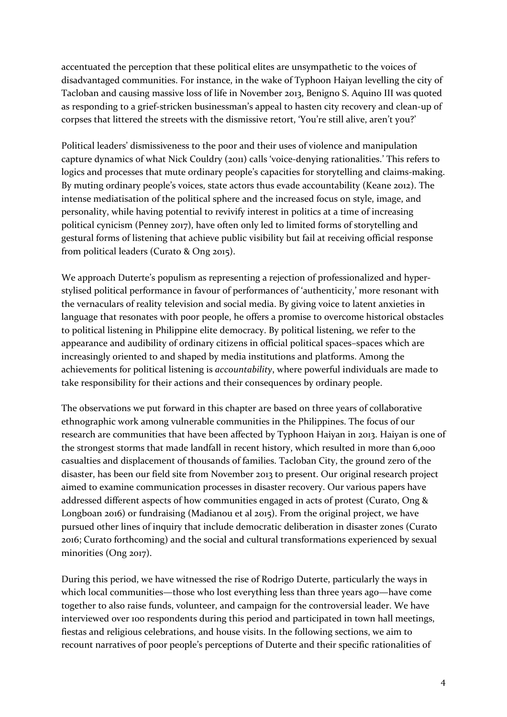accentuated the perception that these political elites are unsympathetic to the voices of disadvantaged communities. For instance, in the wake of Typhoon Haiyan levelling the city of Tacloban and causing massive loss of life in November 2013, Benigno S. Aquino III was quoted as responding to a grief-stricken businessman's appeal to hasten city recovery and clean-up of corpses that littered the streets with the dismissive retort, 'You're still alive, aren't you?'

Political leaders' dismissiveness to the poor and their uses of violence and manipulation capture dynamics of what Nick Couldry (2011) calls 'voice-denying rationalities.' This refers to logics and processes that mute ordinary people's capacities for storytelling and claims-making. By muting ordinary people's voices, state actors thus evade accountability (Keane 2012). The intense mediatisation of the political sphere and the increased focus on style, image, and personality, while having potential to revivify interest in politics at a time of increasing political cynicism (Penney 2017), have often only led to limited forms of storytelling and gestural forms of listening that achieve public visibility but fail at receiving official response from political leaders (Curato & Ong 2015).

We approach Duterte's populism as representing a rejection of professionalized and hyperstylised political performance in favour of performances of 'authenticity,' more resonant with the vernaculars of reality television and social media. By giving voice to latent anxieties in language that resonates with poor people, he offers a promise to overcome historical obstacles to political listening in Philippine elite democracy. By political listening, we refer to the appearance and audibility of ordinary citizens in official political spaces–spaces which are increasingly oriented to and shaped by media institutions and platforms. Among the achievements for political listening is *accountability*, where powerful individuals are made to take responsibility for their actions and their consequences by ordinary people.

The observations we put forward in this chapter are based on three years of collaborative ethnographic work among vulnerable communities in the Philippines. The focus of our research are communities that have been affected by Typhoon Haiyan in 2013. Haiyan is one of the strongest storms that made landfall in recent history, which resulted in more than 6,000 casualties and displacement of thousands of families. Tacloban City, the ground zero of the disaster, has been our field site from November 2013 to present. Our original research project aimed to examine communication processes in disaster recovery. Our various papers have addressed different aspects of how communities engaged in acts of protest (Curato, Ong & Longboan 2016) or fundraising (Madianou et al 2015). From the original project, we have pursued other lines of inquiry that include democratic deliberation in disaster zones (Curato 2016; Curato forthcoming) and the social and cultural transformations experienced by sexual minorities (Ong 2017).

During this period, we have witnessed the rise of Rodrigo Duterte, particularly the ways in which local communities—those who lost everything less than three years ago—have come together to also raise funds, volunteer, and campaign for the controversial leader. We have interviewed over 100 respondents during this period and participated in town hall meetings, fiestas and religious celebrations, and house visits. In the following sections, we aim to recount narratives of poor people's perceptions of Duterte and their specific rationalities of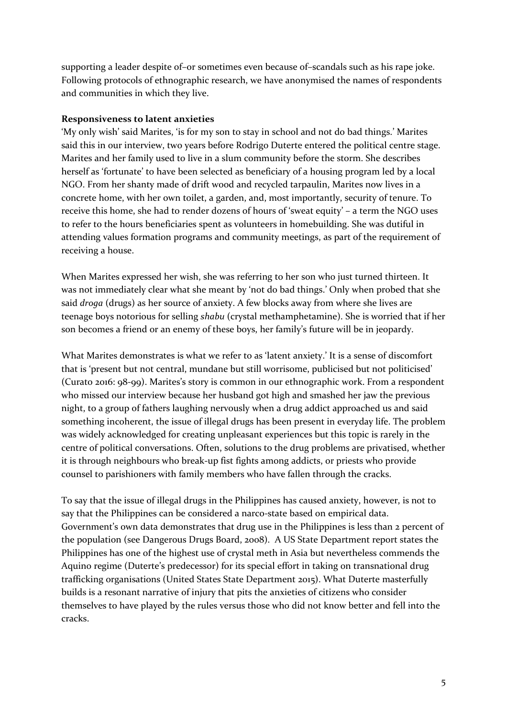supporting a leader despite of–or sometimes even because of–scandals such as his rape joke. Following protocols of ethnographic research, we have anonymised the names of respondents and communities in which they live.

#### **Responsiveness to latent anxieties**

'My only wish' said Marites, 'is for my son to stay in school and not do bad things.' Marites said this in our interview, two years before Rodrigo Duterte entered the political centre stage. Marites and her family used to live in a slum community before the storm. She describes herself as 'fortunate' to have been selected as beneficiary of a housing program led by a local NGO. From her shanty made of drift wood and recycled tarpaulin, Marites now lives in a concrete home, with her own toilet, a garden, and, most importantly, security of tenure. To receive this home, she had to render dozens of hours of 'sweat equity' – a term the NGO uses to refer to the hours beneficiaries spent as volunteers in homebuilding. She was dutiful in attending values formation programs and community meetings, as part of the requirement of receiving a house.

When Marites expressed her wish, she was referring to her son who just turned thirteen. It was not immediately clear what she meant by 'not do bad things.' Only when probed that she said *droga* (drugs) as her source of anxiety. A few blocks away from where she lives are teenage boys notorious for selling *shabu* (crystal methamphetamine). She is worried that if her son becomes a friend or an enemy of these boys, her family's future will be in jeopardy.

What Marites demonstrates is what we refer to as 'latent anxiety.' It is a sense of discomfort that is 'present but not central, mundane but still worrisome, publicised but not politicised' (Curato 2016: 98-99). Marites's story is common in our ethnographic work. From a respondent who missed our interview because her husband got high and smashed her jaw the previous night, to a group of fathers laughing nervously when a drug addict approached us and said something incoherent, the issue of illegal drugs has been present in everyday life. The problem was widely acknowledged for creating unpleasant experiences but this topic is rarely in the centre of political conversations. Often, solutions to the drug problems are privatised, whether it is through neighbours who break-up fist fights among addicts, or priests who provide counsel to parishioners with family members who have fallen through the cracks.

To say that the issue of illegal drugs in the Philippines has caused anxiety, however, is not to say that the Philippines can be considered a narco-state based on empirical data. Government's own data demonstrates that drug use in the Philippines is less than 2 percent of the population (see Dangerous Drugs Board, 2008). A US State Department report states the Philippines has one of the highest use of crystal meth in Asia but nevertheless commends the Aquino regime (Duterte's predecessor) for its special effort in taking on transnational drug trafficking organisations (United States State Department 2015). What Duterte masterfully builds is a resonant narrative of injury that pits the anxieties of citizens who consider themselves to have played by the rules versus those who did not know better and fell into the cracks.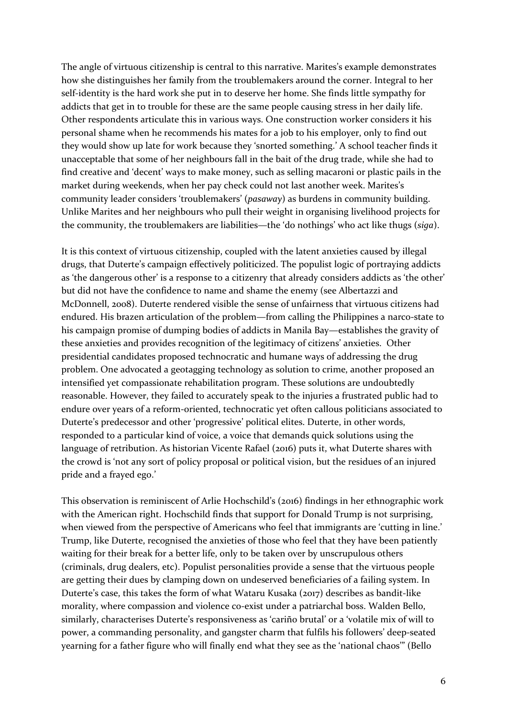The angle of virtuous citizenship is central to this narrative. Marites's example demonstrates how she distinguishes her family from the troublemakers around the corner. Integral to her self-identity is the hard work she put in to deserve her home. She finds little sympathy for addicts that get in to trouble for these are the same people causing stress in her daily life. Other respondents articulate this in various ways. One construction worker considers it his personal shame when he recommends his mates for a job to his employer, only to find out they would show up late for work because they 'snorted something.' A school teacher finds it unacceptable that some of her neighbours fall in the bait of the drug trade, while she had to find creative and 'decent' ways to make money, such as selling macaroni or plastic pails in the market during weekends, when her pay check could not last another week. Marites's community leader considers 'troublemakers' (*pasaway*) as burdens in community building. Unlike Marites and her neighbours who pull their weight in organising livelihood projects for the community, the troublemakers are liabilities—the 'do nothings' who act like thugs (*siga*).

It is this context of virtuous citizenship, coupled with the latent anxieties caused by illegal drugs, that Duterte's campaign effectively politicized. The populist logic of portraying addicts as 'the dangerous other' is a response to a citizenry that already considers addicts as 'the other' but did not have the confidence to name and shame the enemy (see Albertazzi and McDonnell, 2008). Duterte rendered visible the sense of unfairness that virtuous citizens had endured. His brazen articulation of the problem—from calling the Philippines a narco-state to his campaign promise of dumping bodies of addicts in Manila Bay—establishes the gravity of these anxieties and provides recognition of the legitimacy of citizens' anxieties. Other presidential candidates proposed technocratic and humane ways of addressing the drug problem. One advocated a geotagging technology as solution to crime, another proposed an intensified yet compassionate rehabilitation program. These solutions are undoubtedly reasonable. However, they failed to accurately speak to the injuries a frustrated public had to endure over years of a reform-oriented, technocratic yet often callous politicians associated to Duterte's predecessor and other 'progressive' political elites. Duterte, in other words, responded to a particular kind of voice, a voice that demands quick solutions using the language of retribution. As historian Vicente Rafael (2016) puts it, what Duterte shares with the crowd is 'not any sort of policy proposal or political vision, but the residues of an injured pride and a frayed ego.'

This observation is reminiscent of Arlie Hochschild's (2016) findings in her ethnographic work with the American right. Hochschild finds that support for Donald Trump is not surprising, when viewed from the perspective of Americans who feel that immigrants are 'cutting in line.' Trump, like Duterte, recognised the anxieties of those who feel that they have been patiently waiting for their break for a better life, only to be taken over by unscrupulous others (criminals, drug dealers, etc). Populist personalities provide a sense that the virtuous people are getting their dues by clamping down on undeserved beneficiaries of a failing system. In Duterte's case, this takes the form of what Wataru Kusaka (2017) describes as bandit-like morality, where compassion and violence co-exist under a patriarchal boss. Walden Bello, similarly, characterises Duterte's responsiveness as 'cariño brutal' or a 'volatile mix of will to power, a commanding personality, and gangster charm that fulfils his followers' deep-seated yearning for a father figure who will finally end what they see as the 'national chaos'" (Bello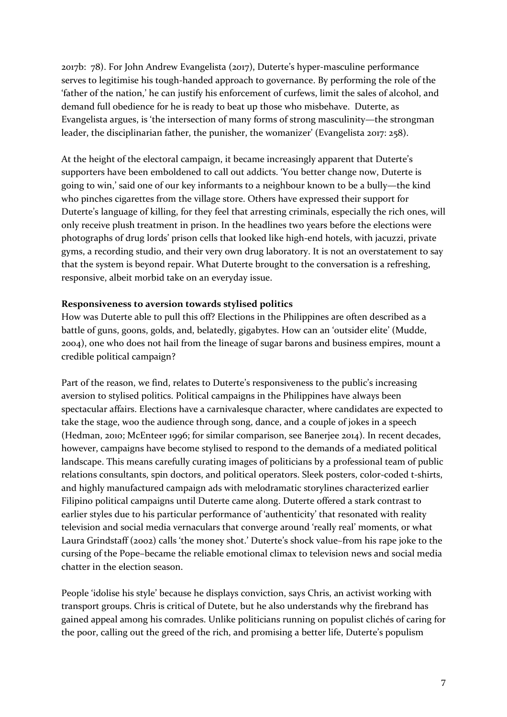2017b: 78). For John Andrew Evangelista (2017), Duterte's hyper-masculine performance serves to legitimise his tough-handed approach to governance. By performing the role of the 'father of the nation,' he can justify his enforcement of curfews, limit the sales of alcohol, and demand full obedience for he is ready to beat up those who misbehave. Duterte, as Evangelista argues, is 'the intersection of many forms of strong masculinity—the strongman leader, the disciplinarian father, the punisher, the womanizer' (Evangelista 2017: 258).

At the height of the electoral campaign, it became increasingly apparent that Duterte's supporters have been emboldened to call out addicts. 'You better change now, Duterte is going to win,' said one of our key informants to a neighbour known to be a bully—the kind who pinches cigarettes from the village store. Others have expressed their support for Duterte's language of killing, for they feel that arresting criminals, especially the rich ones, will only receive plush treatment in prison. In the headlines two years before the elections were photographs of drug lords' prison cells that looked like high-end hotels, with jacuzzi, private gyms, a recording studio, and their very own drug laboratory. It is not an overstatement to say that the system is beyond repair. What Duterte brought to the conversation is a refreshing, responsive, albeit morbid take on an everyday issue.

### **Responsiveness to aversion towards stylised politics**

How was Duterte able to pull this off? Elections in the Philippines are often described as a battle of guns, goons, golds, and, belatedly, gigabytes. How can an 'outsider elite' (Mudde, 2004), one who does not hail from the lineage of sugar barons and business empires, mount a credible political campaign?

Part of the reason, we find, relates to Duterte's responsiveness to the public's increasing aversion to stylised politics. Political campaigns in the Philippines have always been spectacular affairs. Elections have a carnivalesque character, where candidates are expected to take the stage, woo the audience through song, dance, and a couple of jokes in a speech (Hedman, 2010; McEnteer 1996; for similar comparison, see Banerjee 2014). In recent decades, however, campaigns have become stylised to respond to the demands of a mediated political landscape. This means carefully curating images of politicians by a professional team of public relations consultants, spin doctors, and political operators. Sleek posters, color-coded t-shirts, and highly manufactured campaign ads with melodramatic storylines characterized earlier Filipino political campaigns until Duterte came along. Duterte offered a stark contrast to earlier styles due to his particular performance of 'authenticity' that resonated with reality television and social media vernaculars that converge around 'really real' moments, or what Laura Grindstaff (2002) calls 'the money shot.' Duterte's shock value–from his rape joke to the cursing of the Pope–became the reliable emotional climax to television news and social media chatter in the election season.

People 'idolise his style' because he displays conviction, says Chris, an activist working with transport groups. Chris is critical of Dutete, but he also understands why the firebrand has gained appeal among his comrades. Unlike politicians running on populist clichés of caring for the poor, calling out the greed of the rich, and promising a better life, Duterte's populism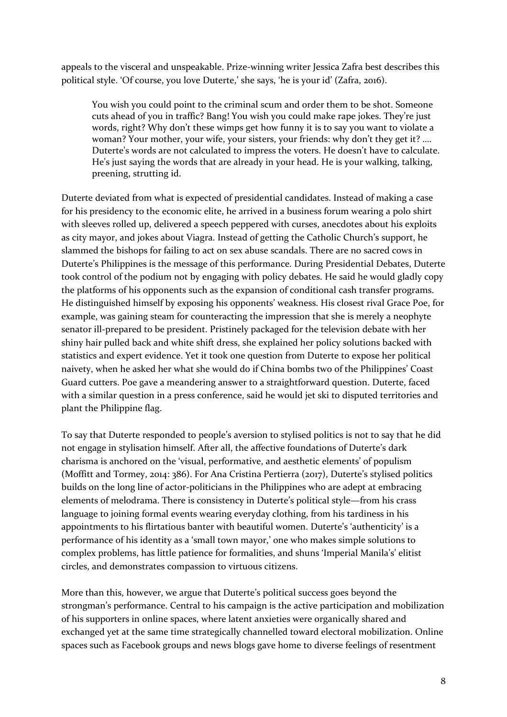appeals to the visceral and unspeakable. Prize-winning writer Jessica Zafra best describes this political style. 'Of course, you love Duterte,' she says, 'he is your id' (Zafra, 2016).

You wish you could point to the criminal scum and order them to be shot. Someone cuts ahead of you in traffic? Bang! You wish you could make rape jokes. They're just words, right? Why don't these wimps get how funny it is to say you want to violate a woman? Your mother, your wife, your sisters, your friends: why don't they get it? …. Duterte's words are not calculated to impress the voters. He doesn't have to calculate. He's just saying the words that are already in your head. He is your walking, talking, preening, strutting id.

Duterte deviated from what is expected of presidential candidates. Instead of making a case for his presidency to the economic elite, he arrived in a business forum wearing a polo shirt with sleeves rolled up, delivered a speech peppered with curses, anecdotes about his exploits as city mayor, and jokes about Viagra. Instead of getting the Catholic Church's support, he slammed the bishops for failing to act on sex abuse scandals. There are no sacred cows in Duterte's Philippines is the message of this performance. During Presidential Debates, Duterte took control of the podium not by engaging with policy debates. He said he would gladly copy the platforms of his opponents such as the expansion of conditional cash transfer programs. He distinguished himself by exposing his opponents' weakness. His closest rival Grace Poe, for example, was gaining steam for counteracting the impression that she is merely a neophyte senator ill-prepared to be president. Pristinely packaged for the television debate with her shiny hair pulled back and white shift dress, she explained her policy solutions backed with statistics and expert evidence. Yet it took one question from Duterte to expose her political naivety, when he asked her what she would do if China bombs two of the Philippines' Coast Guard cutters. Poe gave a meandering answer to a straightforward question. Duterte, faced with a similar question in a press conference, said he would jet ski to disputed territories and plant the Philippine flag.

To say that Duterte responded to people's aversion to stylised politics is not to say that he did not engage in stylisation himself. After all, the affective foundations of Duterte's dark charisma is anchored on the 'visual, performative, and aesthetic elements' of populism (Moffitt and Tormey, 2014: 386). For Ana Cristina Pertierra (2017), Duterte's stylised politics builds on the long line of actor-politicians in the Philippines who are adept at embracing elements of melodrama. There is consistency in Duterte's political style—from his crass language to joining formal events wearing everyday clothing, from his tardiness in his appointments to his flirtatious banter with beautiful women. Duterte's 'authenticity' is a performance of his identity as a 'small town mayor,' one who makes simple solutions to complex problems, has little patience for formalities, and shuns 'Imperial Manila's' elitist circles, and demonstrates compassion to virtuous citizens.

More than this, however, we argue that Duterte's political success goes beyond the strongman's performance. Central to his campaign is the active participation and mobilization of his supporters in online spaces, where latent anxieties were organically shared and exchanged yet at the same time strategically channelled toward electoral mobilization. Online spaces such as Facebook groups and news blogs gave home to diverse feelings of resentment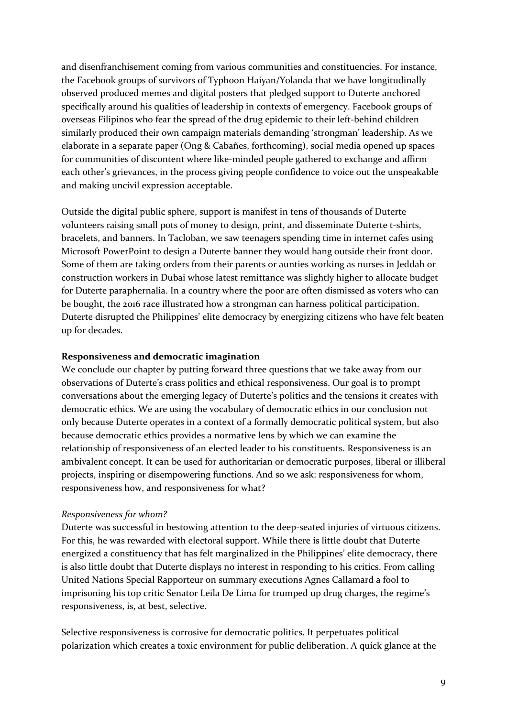and disenfranchisement coming from various communities and constituencies. For instance, the Facebook groups of survivors of Typhoon Haiyan/Yolanda that we have longitudinally observed produced memes and digital posters that pledged support to Duterte anchored specifically around his qualities of leadership in contexts of emergency. Facebook groups of overseas Filipinos who fear the spread of the drug epidemic to their left-behind children similarly produced their own campaign materials demanding 'strongman' leadership. As we elaborate in a separate paper (Ong & Cabañes, forthcoming), social media opened up spaces for communities of discontent where like-minded people gathered to exchange and affirm each other's grievances, in the process giving people confidence to voice out the unspeakable and making uncivil expression acceptable.

Outside the digital public sphere, support is manifest in tens of thousands of Duterte volunteers raising small pots of money to design, print, and disseminate Duterte t-shirts, bracelets, and banners. In Tacloban, we saw teenagers spending time in internet cafes using Microsoft PowerPoint to design a Duterte banner they would hang outside their front door. Some of them are taking orders from their parents or aunties working as nurses in Jeddah or construction workers in Dubai whose latest remittance was slightly higher to allocate budget for Duterte paraphernalia. In a country where the poor are often dismissed as voters who can be bought, the 2016 race illustrated how a strongman can harness political participation. Duterte disrupted the Philippines' elite democracy by energizing citizens who have felt beaten up for decades.

#### **Responsiveness and democratic imagination**

We conclude our chapter by putting forward three questions that we take away from our observations of Duterte's crass politics and ethical responsiveness. Our goal is to prompt conversations about the emerging legacy of Duterte's politics and the tensions it creates with democratic ethics. We are using the vocabulary of democratic ethics in our conclusion not only because Duterte operates in a context of a formally democratic political system, but also because democratic ethics provides a normative lens by which we can examine the relationship of responsiveness of an elected leader to his constituents. Responsiveness is an ambivalent concept. It can be used for authoritarian or democratic purposes, liberal or illiberal projects, inspiring or disempowering functions. And so we ask: responsiveness for whom, responsiveness how, and responsiveness for what?

#### *Responsiveness for whom?*

Duterte was successful in bestowing attention to the deep-seated injuries of virtuous citizens. For this, he was rewarded with electoral support. While there is little doubt that Duterte energized a constituency that has felt marginalized in the Philippines' elite democracy, there is also little doubt that Duterte displays no interest in responding to his critics. From calling United Nations Special Rapporteur on summary executions Agnes Callamard a fool to imprisoning his top critic Senator Leila De Lima for trumped up drug charges, the regime's responsiveness, is, at best, selective.

Selective responsiveness is corrosive for democratic politics. It perpetuates political polarization which creates a toxic environment for public deliberation. A quick glance at the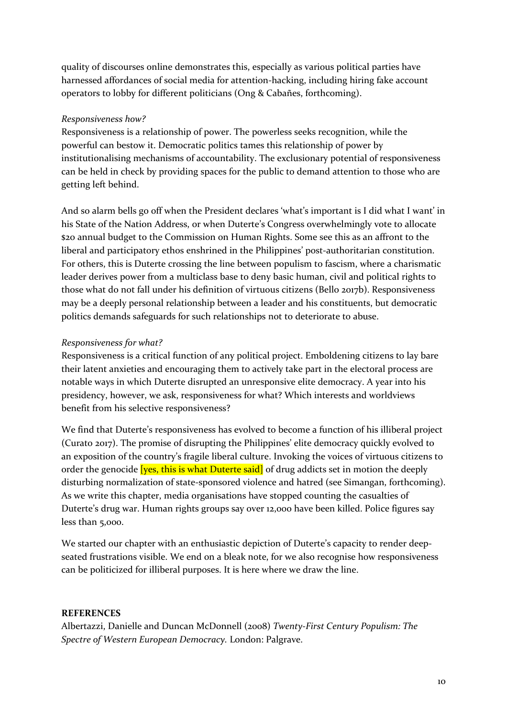quality of discourses online demonstrates this, especially as various political parties have harnessed affordances of social media for attention-hacking, including hiring fake account operators to lobby for different politicians (Ong & Cabañes, forthcoming).

### *Responsiveness how?*

Responsiveness is a relationship of power. The powerless seeks recognition, while the powerful can bestow it. Democratic politics tames this relationship of power by institutionalising mechanisms of accountability. The exclusionary potential of responsiveness can be held in check by providing spaces for the public to demand attention to those who are getting left behind.

And so alarm bells go off when the President declares 'what's important is I did what I want' in his State of the Nation Address, or when Duterte's Congress overwhelmingly vote to allocate \$20 annual budget to the Commission on Human Rights. Some see this as an affront to the liberal and participatory ethos enshrined in the Philippines' post-authoritarian constitution. For others, this is Duterte crossing the line between populism to fascism, where a charismatic leader derives power from a multiclass base to deny basic human, civil and political rights to those what do not fall under his definition of virtuous citizens (Bello 2017b). Responsiveness may be a deeply personal relationship between a leader and his constituents, but democratic politics demands safeguards for such relationships not to deteriorate to abuse.

## *Responsiveness for what?*

Responsiveness is a critical function of any political project. Emboldening citizens to lay bare their latent anxieties and encouraging them to actively take part in the electoral process are notable ways in which Duterte disrupted an unresponsive elite democracy. A year into his presidency, however, we ask, responsiveness for what? Which interests and worldviews benefit from his selective responsiveness?

We find that Duterte's responsiveness has evolved to become a function of his illiberal project (Curato 2017). The promise of disrupting the Philippines' elite democracy quickly evolved to an exposition of the country's fragile liberal culture. Invoking the voices of virtuous citizens to order the genocide **[yes, this is what Duterte said]** of drug addicts set in motion the deeply disturbing normalization of state-sponsored violence and hatred (see Simangan, forthcoming). As we write this chapter, media organisations have stopped counting the casualties of Duterte's drug war. Human rights groups say over 12,000 have been killed. Police figures say less than 5,000.

We started our chapter with an enthusiastic depiction of Duterte's capacity to render deepseated frustrations visible. We end on a bleak note, for we also recognise how responsiveness can be politicized for illiberal purposes. It is here where we draw the line.

## **REFERENCES**

Albertazzi, Danielle and Duncan McDonnell (2008) *Twenty-First Century Populism: The Spectre of Western European Democracy.* London: Palgrave.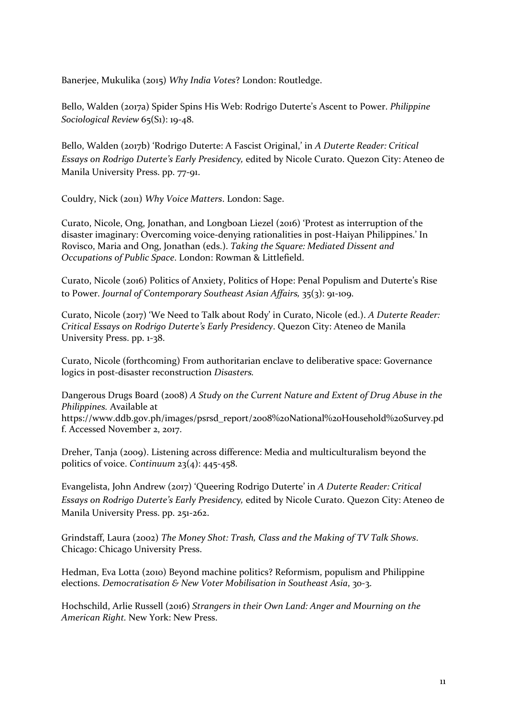Banerjee, Mukulika (2015) *Why India Votes*? London: Routledge.

Bello, Walden (2017a) Spider Spins His Web: Rodrigo Duterte's Ascent to Power. *Philippine Sociological Review* 65(S1): 19-48.

Bello, Walden (2017b) 'Rodrigo Duterte: A Fascist Original,' in *A Duterte Reader: Critical Essays on Rodrigo Duterte's Early Presidency,* edited by Nicole Curato. Quezon City: Ateneo de Manila University Press. pp. 77-91.

Couldry, Nick (2011) *Why Voice Matters*. London: Sage.

Curato, Nicole, Ong, Jonathan, and Longboan Liezel (2016) 'Protest as interruption of the disaster imaginary: Overcoming voice-denying rationalities in post-Haiyan Philippines.' In Rovisco, Maria and Ong, Jonathan (eds.). *Taking the Square: Mediated Dissent and Occupations of Public Space*. London: Rowman & Littlefield.

Curato, Nicole (2016) Politics of Anxiety, Politics of Hope: Penal Populism and Duterte's Rise to Power. *Journal of Contemporary Southeast Asian Affairs,* 35(3): 91-109.

Curato, Nicole (2017) 'We Need to Talk about Rody' in Curato, Nicole (ed.). *A Duterte Reader: Critical Essays on Rodrigo Duterte's Early Presidency*. Quezon City: Ateneo de Manila University Press. pp. 1-38.

Curato, Nicole (forthcoming) From authoritarian enclave to deliberative space: Governance logics in post-disaster reconstruction *Disasters.*

Dangerous Drugs Board (2008) *A Study on the Current Nature and Extent of Drug Abuse in the Philippines.* Available at https://www.ddb.gov.ph/images/psrsd\_report/2008%20National%20Household%20Survey.pd f. Accessed November 2, 2017.

Dreher, Tanja (2009). Listening across difference: Media and multiculturalism beyond the politics of voice. *Continuum* 23(4): 445-458.

Evangelista, John Andrew (2017) 'Queering Rodrigo Duterte' in *A Duterte Reader: Critical Essays on Rodrigo Duterte's Early Presidency,* edited by Nicole Curato. Quezon City: Ateneo de Manila University Press. pp. 251-262.

Grindstaff, Laura (2002) *The Money Shot: Trash, Class and the Making of TV Talk Shows*. Chicago: Chicago University Press.

Hedman, Eva Lotta (2010) Beyond machine politics? Reformism, populism and Philippine elections. *Democratisation & New Voter Mobilisation in Southeast Asia*, 30-3.

Hochschild, Arlie Russell (2016) *Strangers in their Own Land: Anger and Mourning on the American Right.* New York: New Press.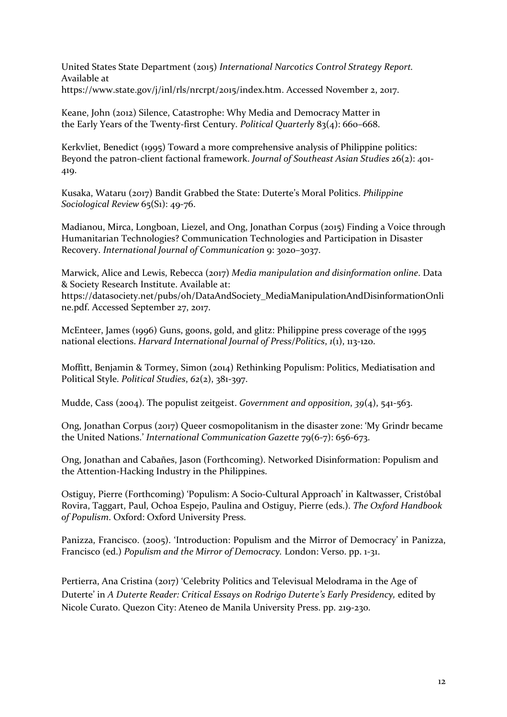United States State Department (2015) *International Narcotics Control Strategy Report.* Available at https://www.state.gov/j/inl/rls/nrcrpt/2015/index.htm. Accessed November 2, 2017.

Keane, John (2012) Silence, Catastrophe: Why Media and Democracy Matter in the Early Years of the Twenty-first Century. *Political Quarterly* 83(4): 660–668.

Kerkvliet, Benedict (1995) Toward a more comprehensive analysis of Philippine politics: Beyond the patron-client factional framework. *Journal of Southeast Asian Studies* 26(2): 401- 419.

Kusaka, Wataru (2017) Bandit Grabbed the State: Duterte's Moral Politics. *Philippine Sociological Review* 65(S1): 49-76.

Madianou, Mirca, Longboan, Liezel, and Ong, Jonathan Corpus (2015) Finding a Voice through Humanitarian Technologies? Communication Technologies and Participation in Disaster Recovery. *International Journal of Communication* 9: 3020–3037.

Marwick, Alice and Lewis, Rebecca (2017) *Media manipulation and disinformation online*. Data & Society Research Institute. Available at:

https://datasociety.net/pubs/oh/DataAndSociety\_MediaManipulationAndDisinformationOnli ne.pdf. Accessed September 27, 2017.

McEnteer, James (1996) Guns, goons, gold, and glitz: Philippine press coverage of the 1995 national elections. *Harvard International Journal of Press/Politics*, *1*(1), 113-120.

Moffitt, Benjamin & Tormey, Simon (2014) Rethinking Populism: Politics, Mediatisation and Political Style. *Political Studies*, *62*(2), 381-397.

Mudde, Cass (2004). The populist zeitgeist. *Government and opposition*, *39*(4), 541-563.

Ong, Jonathan Corpus (2017) Queer cosmopolitanism in the disaster zone: 'My Grindr became the United Nations.' *International Communication Gazette* 79(6-7): 656-673.

Ong, Jonathan and Cabañes, Jason (Forthcoming). Networked Disinformation: Populism and the Attention-Hacking Industry in the Philippines.

Ostiguy, Pierre (Forthcoming) 'Populism: A Socio-Cultural Approach' in Kaltwasser, Cristóbal Rovira, Taggart, Paul, Ochoa Espejo, Paulina and Ostiguy, Pierre (eds.). *The Oxford Handbook of Populism*. Oxford: Oxford University Press.

Panizza, Francisco. (2005). 'Introduction: Populism and the Mirror of Democracy' in Panizza, Francisco (ed.) *Populism and the Mirror of Democracy.* London: Verso. pp. 1-31.

Pertierra, Ana Cristina (2017) 'Celebrity Politics and Televisual Melodrama in the Age of Duterte' in *A Duterte Reader: Critical Essays on Rodrigo Duterte's Early Presidency,* edited by Nicole Curato. Quezon City: Ateneo de Manila University Press. pp. 219-230.